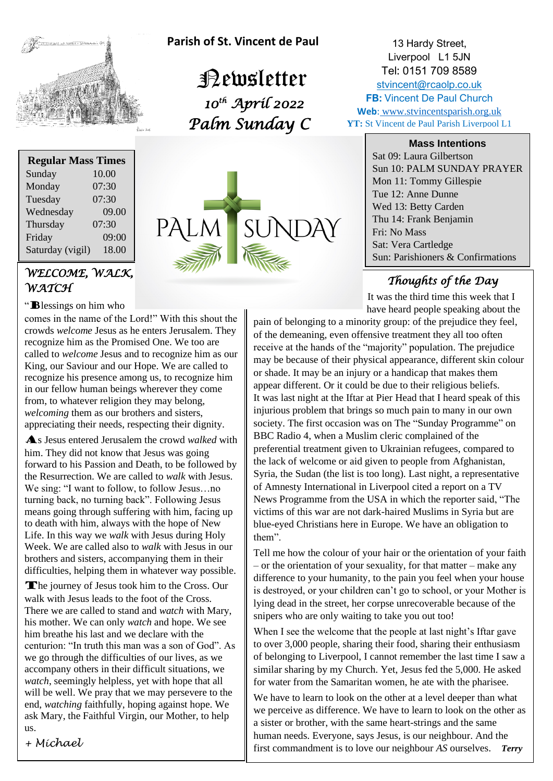

**Regular Mass Times** Sunday 10.00 Monday 07:30 Tuesday 07:30 Wednesday 09.00  **Parish of St. Vincent de Paul**

 Newsletter  *10th April 2022 Palm Sunday C* 



13 Hardy Street, Liverpool L1 5JN Tel: 0151 709 8589 [stvincent@rcaolp.co.uk](mailto:stvincent@rcaolp.co.uk) **FB: Vincent De Paul Church Web**: www.stvincentsparish.org.uk **YT:** St Vincent de Paul Parish Liverpool L1

#### **Mass Intentions**

Sat 09: Laura Gilbertson Sun 10: PALM SUNDAY PRAYER Mon 11: Tommy Gillespie Tue 12: Anne Dunne Wed 13: Betty Carden Thu 14: Frank Benjamin Fri: No Mass Sat: Vera Cartledge Sun: Parishioners & Confirmations

### *Thoughts of the Day*

It was the third time this week that I have heard people speaking about the

pain of belonging to a minority group: of the prejudice they feel, of the demeaning, even offensive treatment they all too often receive at the hands of the "majority" population. The prejudice  may be because of their physical appearance, different skin colour or shade. It may be an injury or a handian that makes them or shade. It may be an injury or a handicap that makes them appear different. Or it could be due to their religious beliefs.  It was last night at the Iftar at Pier Head that I heard speak of this It was fast hight at the fital at Fier Fread that I heard speak of the injurious problem that brings so much pain to many in our own society. The first occasion was on The "Sunday Programme" on BBC Radio 4, when a Muslim cleric complained of the preferential treatment given to Ukrainian refugees, compared to the lack of welcome or aid given to people from Afghanistan, Syria, the Sudan (the list is too long). Last night, a representative Syria, the Sudan (the fist is too long). East hight, a representant of Amnesty International in Liverpool cited a report on a TV News Programme from the USA in which the reporter said, "The victims of this war are not dark-haired Muslims in Syria but are blue-eyed Christians here in Europe. We have an obligation to  them".

Tell me how the colour of your hair or the orientation of your faith  – or the orientation of your sexuality, for that matter – make any difference to your humanity, to the pain you feel when your house is destroyed, or your children can't go to school, or your Mother is  lying dead in the street, her corpse unrecoverable because of the snipers who are only waiting to take you out too!

When I see the welcome that the people at last night's Iftar gave to over 3,000 people, sharing their food, sharing their enthusiasm of belonging to Liverpool, I cannot remember the last time I saw a  similar sharing by my Church. Yet, Jesus fed the 5,000. He asked for water from the Samaritan women, he ate with the pharisee.

We have to learn to look on the other at a level deeper than what we perceive as difference. We have to learn to look on the other as a sister or brother, with the same heart-strings and the same a sister or brother, with the same heart-strings and the same<br>human needs. Everyone, says Jesus, is our neighbour. And the first commandment is to love our neighbour *AS* ourselves. *Terry*

## *WELCOME, WALK,*  Thursday 07:30 Friday 09:00 Saturday (vigil) 18.00

# *WATCH*

#### "Blessings on him who

comes in the name of the Lord!" With this shout the  crowds *welcome* Jesus as he enters Jerusalem. They recognize him as the Promised One. We too are called to *welcome* Jesus and to recognize him as our King, our Saviour and our Hope. We are called to recognize his presence among us, to recognize him in our fellow human beings wherever they come from, to whatever religion they may belong, *welcoming* them as our brothers and sisters, appreciating their needs, respecting their dignity.

As Jesus entered Jerusalem the crowd *walked* with  him. They did not know that Jesus was going forward to his Passion and Death, to be followed by  the Resurrection. We are called to *walk* with Jesus. We sing: "I want to follow, to follow Jesus…no turning back, no turning back". Following Jesus means going through suffering with him, facing up to death with him, always with the hope of New Life. In this way we *walk* with Jesus during Holy Week. We are called also to *walk* with Jesus in our brothers and sisters, accompanying them in their difficulties, helping them in whatever way possible.

The journey of Jesus took him to the Cross. Our walk with Jesus leads to the foot of the Cross. There we are called to stand and *watch* with Mary, his mother. We can only *watch* and hope. We see him breathe his last and we declare with the centurion: "In truth this man was a son of God". As we go through the difficulties of our lives, as we accompany others in their difficult situations, we *watch*, seemingly helpless, yet with hope that all will be well. We pray that we may persevere to the end, *watching* faithfully, hoping against hope. We ask Mary, the Faithful Virgin, our Mother, to help us.

*+ Michael*